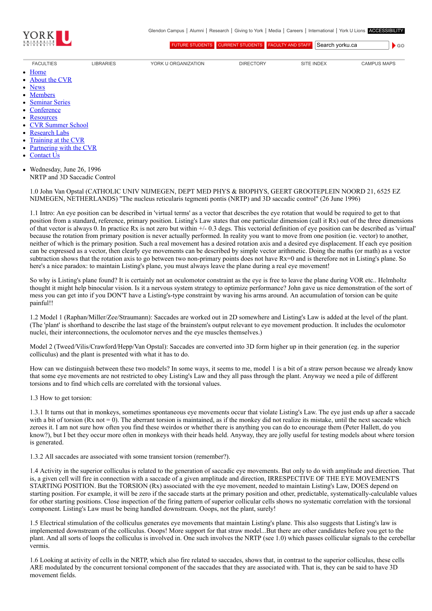

[FUTURE STUDENTS](http://futurestudents.yorku.ca/) [CURRENT STUDENTS](http://www.yorku.ca/yorkweb/cs.htm) [FACULTY AND STAFF](http://www.yorku.ca/yorkweb/fs.htm) Search vorku.ca

[FACULTIES](http://www.yorku.ca/yorkweb/faculties.htm) [LIBRARIES](http://www.library.yorku.ca/) [YORK U ORGANIZATION](http://www.yorku.ca/yorkweb/org.htm) [DIRECTORY](http://www.yorku.ca/yorkatlas) [SITE INDEX](http://www.yorku.ca/yorkweb/siteindex.htm) [CAMPUS MAPS](http://www.yorku.ca/yorkweb/maps/)

 $\bullet$  GO

- $\bullet$ **[Home](file:///C:/)**
- [About the CVR](file:///C:/content/about-cvr)
- [News](file:///C:/newslatest)
- **[Members](file:///C:/category/faculty/york-faculty)**  $\bullet$
- [Seminar Series](file:///C:/content/seminar-series)  $\bullet$
- **[Conference](file:///C:/conferencearchive)**
- **[Resources](file:///C:/content/resources)**  $\bullet$
- [CVR Summer School](http://cvrss.info.yorku.ca/)
- [Research Labs](file:///C:/content/research-labs)
- [Training at the CVR](file:///C:/content/training-cvr-0)
- [Partnering with the CVR](file:///C:/content/partnering-cvr-0)  $\bullet$
- [Contact Us](file:///C:/content/contact-cvr)
- 
- Wednesday, June 26, 1996 NRTP and 3D Saccadic Control

1.0 John Van Opstal (CATHOLIC UNIV NIJMEGEN, DEPT MED PHYS & BIOPHYS, GEERT GROOTEPLEIN NOORD 21, 6525 EZ NIJMEGEN, NETHERLANDS) "The nucleus reticularis tegmenti pontis (NRTP) and 3D saccadic control" (26 June 1996)

1.1 Intro: An eye position can be described in 'virtual terms' as a vector that describes the eye rotation that would be required to get to that position from a standard, reference, primary position. Listing's Law states that one particular dimension (call it Rx) out of the three dimensions of that vector is always 0. In practice Rx is not zero but within +/- 0.3 degs. This vectorial definition of eye position can be described as 'virtual' because the rotation from primary position is never actually performed. In reality you want to move from one position (ie. vector) to another, neither of which is the primary position. Such a real movement has a desired rotation axis and a desired eye displacement. If each eye position can be expressed as a vector, then clearly eye movements can be described by simple vector arithmetic. Doing the maths (or math) as a vector subtraction shows that the rotation axis to go between two non-primary points does not have Rx=0 and is therefore not in Listing's plane. So here's a nice paradox: to maintain Listing's plane, you must always leave the plane during a real eye movement!

So why is Listing's plane found? It is certainly not an oculomotor constraint as the eye is free to leave the plane during VOR etc.. Helmholtz thought it might help binocular vision. Is it a nervous system strategy to optimize performance? John gave us nice demonstration of the sort of mess you can get into if you DON'T have a Listing's-type constraint by waving his arms around. An accumulation of torsion can be quite painful!!

1.2 Model 1 (Raphan/Miller/Zee/Straumann): Saccades are worked out in 2D somewhere and Listing's Law is added at the level of the plant. (The 'plant' is shorthand to describe the last stage of the brainstem's output relevant to eye movement production. It includes the oculomotor nuclei, their interconnections, the oculomotor nerves and the eye muscles themselves.)

Model 2 (Tweed/Vilis/Crawford/Hepp/Van Opstal): Saccades are converted into 3D form higher up in their generation (eg. in the superior colliculus) and the plant is presented with what it has to do.

How can we distinguish between these two models? In some ways, it seems to me, model 1 is a bit of a straw person because we already know that some eye movements are not restricted to obey Listing's Law and they all pass through the plant. Anyway we need a pile of different torsions and to find which cells are correlated with the torsional values.

1.3 How to get torsion:

1.3.1 It turns out that in monkeys, sometimes spontaneous eye movements occur that violate Listing's Law. The eye just ends up after a saccade with a bit of torsion  $(Rx \text{ not } = 0)$ . The aberrant torsion is maintained, as if the monkey did not realize its mistake, until the next saccade which zeroes it. I am not sure how often you find these weirdos or whether there is anything you can do to encourage them (Peter Hallett, do you know?), but I bet they occur more often in monkeys with their heads held. Anyway, they are jolly useful for testing models about where torsion is generated.

1.3.2 All saccades are associated with some transient torsion (remember?).

1.4 Activity in the superior colliculus is related to the generation of saccadic eye movements. But only to do with amplitude and direction. That is, a given cell will fire in connection with a saccade of a given amplitude and direction, IRRESPECTIVE OF THE EYE MOVEMENT'S STARTING POSITION. But the TORSION (Rx) associated with the eye movement, needed to maintain Listing's Law, DOES depend on starting position. For example, it will be zero if the saccade starts at the primary position and other, predictable, systematically-calculable values for other starting positions. Close inspection of the firing pattern of superior collicular cells shows no systematic correlation with the torsional component. Listing's Law must be being handled downstream. Ooops, not the plant, surely!

1.5 Electrical stimulation of the colliculus generates eye movements that maintain Listing's plane. This also suggests that Listing's law is implemented downstream of the colliculus. Ooops! More support for that straw model...But there are other candidates before you get to the plant. And all sorts of loops the colliculus is involved in. One such involves the NRTP (see 1.0) which passes collicular signals to the cerebellar vermis.

1.6 Looking at activity of cells in the NRTP, which also fire related to saccades, shows that, in contrast to the superior colliculus, these cells ARE modulated by the concurrent torsional component of the saccades that they are associated with. That is, they can be said to have 3D movement fields.